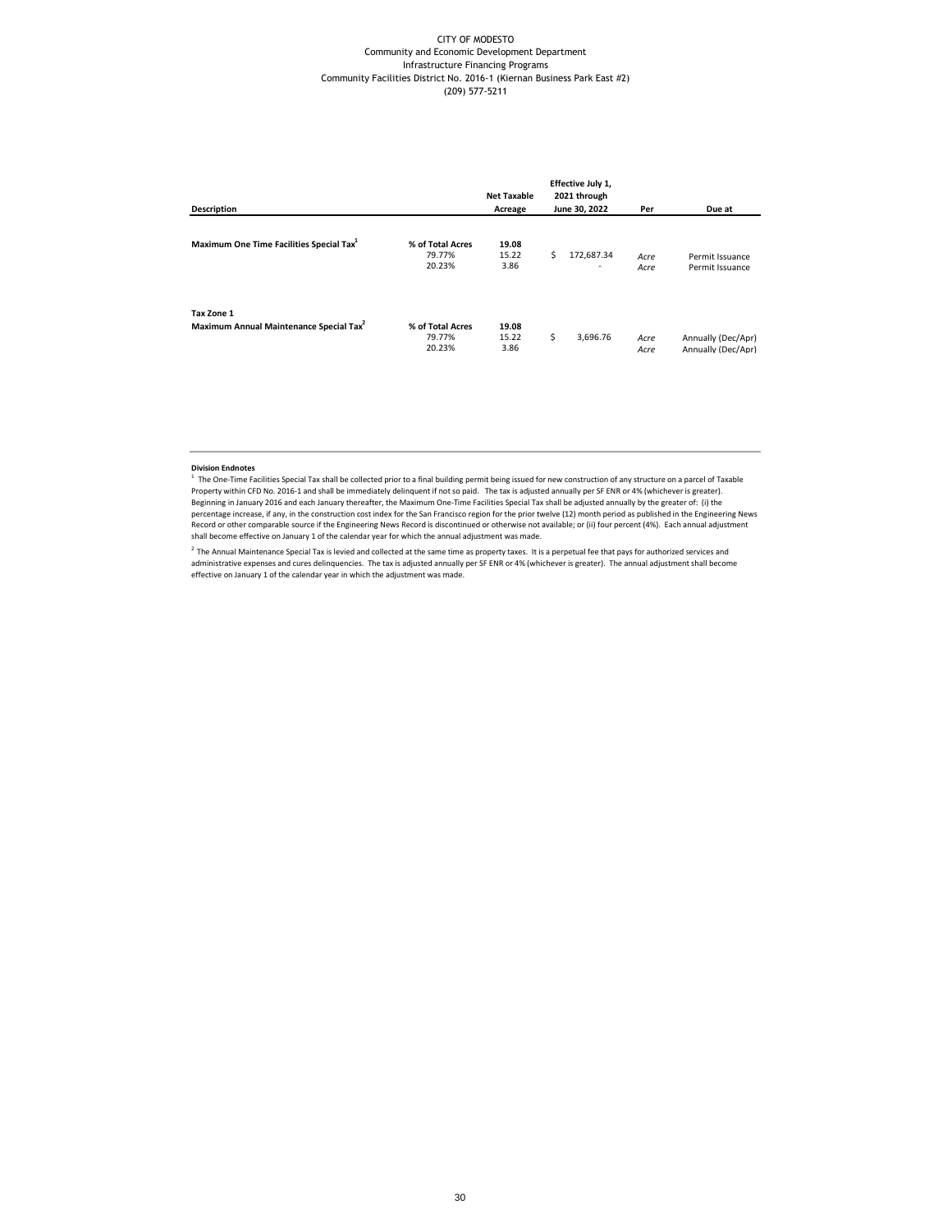## CITY OF MODESTO Community and Economic Development Department Infrastructure Financing Programs Community Facilities District No. 2016-1 (Kiernan Business Park East #2) (209) 577-5211

| <b>Description</b>                                                |                                      | <b>Net Taxable</b><br>Acreage |    | Effective July 1,<br>2021 through<br>June 30, 2022 | Per          | Due at                                   |
|-------------------------------------------------------------------|--------------------------------------|-------------------------------|----|----------------------------------------------------|--------------|------------------------------------------|
| Maximum One Time Facilities Special Tax <sup>1</sup>              | % of Total Acres<br>79.77%<br>20.23% | 19.08<br>15.22<br>3.86        | Ś  | 172,687.34<br>٠                                    | Acre<br>Acre | Permit Issuance<br>Permit Issuance       |
| Tax Zone 1<br>Maximum Annual Maintenance Special Tax <sup>2</sup> | % of Total Acres<br>79.77%<br>20.23% | 19.08<br>15.22<br>3.86        | \$ | 3,696.76                                           | Acre<br>Acre | Annually (Dec/Apr)<br>Annually (Dec/Apr) |

## **Division Endnotes**

<sup>1</sup> The One-Time Facilities Special Tax shall be collected prior to a final building permit being issued for new construction of any structure on a parcel of Taxable<br>Property within CFD No. 2016-1 and shall be immediately percentage increase, if any, in the construction cost index for the San Francisco region for the prior twelve (12) month period as published in the Engineering News Record or other comparable source if the Engineering News Record is discontinued or otherwise not available; or (ii) four percent (4%). Each annual adjustment shall become effective on January 1 of the calendar year for which the annual adjustment was made.

<sup>2</sup> The Annual Maintenance Special Tax is levied and collected at the same time as property taxes. It is a perpetual fee that pays for authorized services and<br>administrative expenses and cures delinquencies. The tax is adj effective on January 1 of the calendar year in which the adjustment was made.